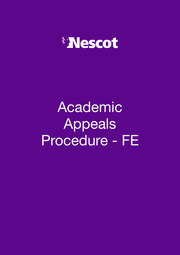

# Academic Appeals Procedure - FE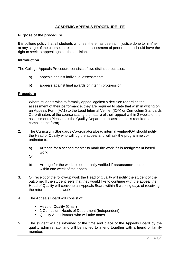## **ACADEMIC APPEALS PROCEDURE– FE**

#### **Purpose of the procedure**

It is college policy that all students who feel there has been an injustice done to him/her at any stage of the course, in relation to the assessment of performance should have the right to seek to appeal against the decision.

#### **Introduction**

The College Appeals Procedure consists of two distinct processes:

- a) appeals against individual assessments;
- b) appeals against final awards or interim progression

#### **Procedure**

- 1. Where students wish to formally appeal against a decision regarding the assessment of their performance, they are required to state that wish in writing on an Appeals Form (AA1) to the Lead Internal Verifier (IQA) or Curriculum Standards Co-ordinators of the course stating the nature of their appeal within 2 weeks of the assessment. (Please ask the Quality Department if assistance is required to complete the form).
- 2. The Curriculum Standards Co-ordinators/Lead internal verifier/IQA should notify the Head of Quality who will log the appeal and will ask the programme coordinator to:
	- a) Arrange for a second marker to mark the work if it is **assignment** based work;
	- Or
	- b) Arrange for the work to be internally verified if **assessment** based within one week of the appeal.
- 3. On receipt of the follow-up work the Head of Quality will notify the student of the outcome. If the student feels that they would like to continue with the appeal the Head of Quality will convene an Appeals Board within 5 working days of receiving the returned marked work.
- 4. The Appeals Board will consist of:
	- Head of Quality (Chair)
	- 2 Curriculum Heads of Department (Independent)
	- Quality Administrator who will take notes
- 5. The student will be informed of the time and place of the Appeals Board by the quality administrator and will be invited to attend together with a friend or family member.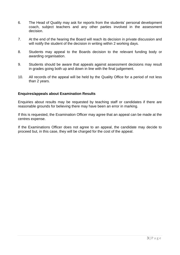- 6. The Head of Quality may ask for reports from the students' personal development coach, subject teachers and any other parties involved in the assessment decision.
- 7. At the end of the hearing the Board will reach its decision in private discussion and will notify the student of the decision in writing within 2 working days.
- 8. Students may appeal to the Boards decision to the relevant funding body or awarding organisation.
- 9. Students should be aware that appeals against assessment decisions may result in grades going both up and down in line with the final judgement.
- 10. All records of the appeal will be held by the Quality Office for a period of not less than 2 years.

#### **Enquires/appeals about Examination Results**

Enquiries about results may be requested by teaching staff or candidates if there are reasonable grounds for believing there may have been an error in marking.

If this is requested, the Examination Officer may agree that an appeal can be made at the centres expense.

If the Examinations Officer does not agree to an appeal, the candidate may decide to proceed but, in this case, they will be charged for the cost of the appeal.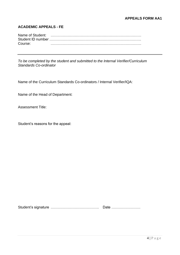### **APPEALS FORM AA1**

#### **ACADEMIC APPEALS - FE**

| Course: |  |
|---------|--|

*To be completed by the student and submitted to the Internal Verifier/Curriculum Standards Co-ordinator*

Name of the Curriculum Standards Co-ordinators / Internal Verifier/IQA:

Name of the Head of Department:

Assessment Title:

Student's reasons for the appeal:

Student's signature …………………………………. Date ……………………